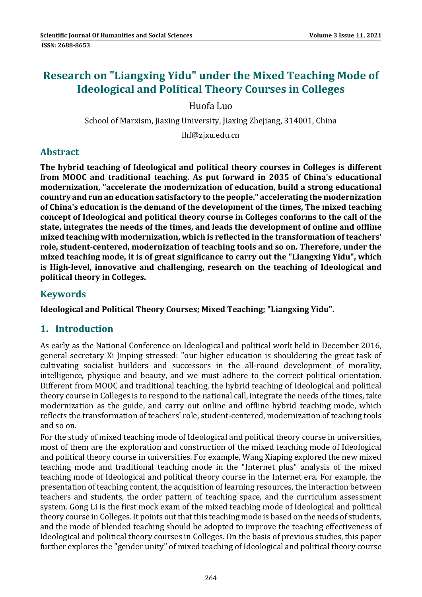# **Research on "Liangxing Yidu" under the Mixed Teaching Mode of Ideological and Political Theory Courses in Colleges**

Huofa Luo 

School of Marxism, Jiaxing University, Jiaxing Zhejiang, 314001, China

lhf@zjxu.edu.cn 

## **Abstract**

**The hybrid teaching of Ideological and political theory courses in Colleges is different from MOOC and traditional teaching. As put forward in 2035 of China's educational modernization, "accelerate the modernization of education, build a strong educational country and run an education satisfactory to the people." accelerating the modernization of China's education is the demand of the development of the times, The mixed teaching concept of Ideological and political theory course in Colleges conforms to the call of the state, integrates the needs of the times, and leads the development of online and offline mixed teaching with modernization, which is reflected in the transformation ofteachers' role, student‐centered, modernization of teaching tools and so on. Therefore, under the mixed teaching mode, it is of great significance to carry out the "Liangxing Yidu", which is High‐level, innovative and challenging, research on the teaching of Ideological and political theory in Colleges.**

### **Keywords**

**Ideological and Political Theory Courses; Mixed Teaching; "Liangxing Yidu".**

### **1. Introduction**

As early as the National Conference on Ideological and political work held in December 2016, general secretary Xi linping stressed: "our higher education is shouldering the great task of cultivating socialist builders and successors in the all-round development of morality, intelligence, physique and beauty, and we must adhere to the correct political orientation. Different from MOOC and traditional teaching, the hybrid teaching of Ideological and political theory course in Colleges is to respond to the national call, integrate the needs of the times, take modernization as the guide, and carry out online and offline hybrid teaching mode, which reflects the transformation of teachers' role, student-centered, modernization of teaching tools and so on.

For the study of mixed teaching mode of Ideological and political theory course in universities, most of them are the exploration and construction of the mixed teaching mode of Ideological and political theory course in universities. For example, Wang Xiaping explored the new mixed teaching mode and traditional teaching mode in the "Internet plus" analysis of the mixed teaching mode of Ideological and political theory course in the Internet era. For example, the presentation of teaching content, the acquisition of learning resources, the interaction between teachers and students, the order pattern of teaching space, and the curriculum assessment system. Gong Li is the first mock exam of the mixed teaching mode of Ideological and political theory course in Colleges. It points out that this teaching mode is based on the needs of students, and the mode of blended teaching should be adopted to improve the teaching effectiveness of Ideological and political theory courses in Colleges. On the basis of previous studies, this paper further explores the "gender unity" of mixed teaching of Ideological and political theory course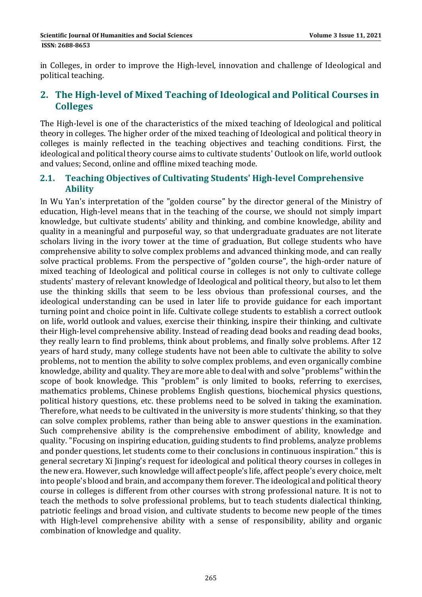in Colleges, in order to improve the High-level, innovation and challenge of Ideological and political teaching.

### **2. The High‐level of Mixed Teaching of Ideological and Political Courses in Colleges**

The High-level is one of the characteristics of the mixed teaching of Ideological and political theory in colleges. The higher order of the mixed teaching of Ideological and political theory in colleges is mainly reflected in the teaching objectives and teaching conditions. First, the ideological and political theory course aims to cultivate students' Outlook on life, world outlook and values; Second, online and offline mixed teaching mode.

#### **2.1. Teaching Objectives of Cultivating Students' High‐level Comprehensive Ability**

In Wu Yan's interpretation of the "golden course" by the director general of the Ministry of education, High-level means that in the teaching of the course, we should not simply impart knowledge, but cultivate students' ability and thinking, and combine knowledge, ability and quality in a meaningful and purposeful way, so that undergraduate graduates are not literate scholars living in the ivory tower at the time of graduation, But college students who have comprehensive ability to solve complex problems and advanced thinking mode, and can really solve practical problems. From the perspective of "golden course", the high-order nature of mixed teaching of Ideological and political course in colleges is not only to cultivate college students' mastery of relevant knowledge of Ideological and political theory, but also to let them use the thinking skills that seem to be less obvious than professional courses, and the ideological understanding can be used in later life to provide guidance for each important turning point and choice point in life. Cultivate college students to establish a correct outlook on life, world outlook and values, exercise their thinking, inspire their thinking, and cultivate their High-level comprehensive ability. Instead of reading dead books and reading dead books, they really learn to find problems, think about problems, and finally solve problems. After 12 years of hard study, many college students have not been able to cultivate the ability to solve problems, not to mention the ability to solve complex problems, and even organically combine knowledge, ability and quality. They are more able to deal with and solve "problems" within the scope of book knowledge. This "problem" is only limited to books, referring to exercises, mathematics problems, Chinese problems English questions, biochemical physics questions, political history questions, etc. these problems need to be solved in taking the examination. Therefore, what needs to be cultivated in the university is more students' thinking, so that they can solve complex problems, rather than being able to answer questions in the examination. Such comprehensive ability is the comprehensive embodiment of ability, knowledge and quality. "Focusing on inspiring education, guiding students to find problems, analyze problems and ponder questions, let students come to their conclusions in continuous inspiration." this is general secretary Xi linping's request for ideological and political theory courses in colleges in the new era. However, such knowledge will affect people's life, affect people's every choice, melt into people's blood and brain, and accompany them forever. The ideological and political theory course in colleges is different from other courses with strong professional nature. It is not to teach the methods to solve professional problems, but to teach students dialectical thinking, patriotic feelings and broad vision, and cultivate students to become new people of the times with High-level comprehensive ability with a sense of responsibility, ability and organic combination of knowledge and quality.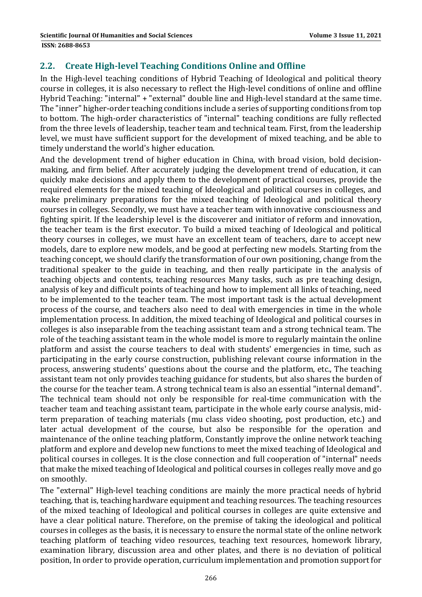### **2.2. Create High‐level Teaching Conditions Online and Offline**

In the High-level teaching conditions of Hybrid Teaching of Ideological and political theory course in colleges, it is also necessary to reflect the High-level conditions of online and offline Hybrid Teaching: "internal" + "external" double line and High-level standard at the same time. The "inner" higher-order teaching conditions include a series of supporting conditions from top to bottom. The high-order characteristics of "internal" teaching conditions are fully reflected from the three levels of leadership, teacher team and technical team. First, from the leadership level, we must have sufficient support for the development of mixed teaching, and be able to timely understand the world's higher education.

And the development trend of higher education in China, with broad vision, bold decisionmaking, and firm belief. After accurately judging the development trend of education, it can quickly make decisions and apply them to the development of practical courses, provide the required elements for the mixed teaching of Ideological and political courses in colleges, and make preliminary preparations for the mixed teaching of Ideological and political theory courses in colleges. Secondly, we must have a teacher team with innovative consciousness and fighting spirit. If the leadership level is the discoverer and initiator of reform and innovation, the teacher team is the first executor. To build a mixed teaching of Ideological and political theory courses in colleges, we must have an excellent team of teachers, dare to accept new models, dare to explore new models, and be good at perfecting new models. Starting from the teaching concept, we should clarify the transformation of our own positioning, change from the traditional speaker to the guide in teaching, and then really participate in the analysis of teaching objects and contents, teaching resources Many tasks, such as pre teaching design, analysis of key and difficult points of teaching and how to implement all links of teaching, need to be implemented to the teacher team. The most important task is the actual development process of the course, and teachers also need to deal with emergencies in time in the whole implementation process. In addition, the mixed teaching of Ideological and political courses in colleges is also inseparable from the teaching assistant team and a strong technical team. The role of the teaching assistant team in the whole model is more to regularly maintain the online platform and assist the course teachers to deal with students' emergencies in time, such as participating in the early course construction, publishing relevant course information in the process, answering students' questions about the course and the platform, etc., The teaching assistant team not only provides teaching guidance for students, but also shares the burden of the course for the teacher team. A strong technical team is also an essential "internal demand". The technical team should not only be responsible for real-time communication with the teacher team and teaching assistant team, participate in the whole early course analysis, midterm preparation of teaching materials (mu class video shooting, post production, etc.) and later actual development of the course, but also be responsible for the operation and maintenance of the online teaching platform, Constantly improve the online network teaching platform and explore and develop new functions to meet the mixed teaching of Ideological and political courses in colleges. It is the close connection and full cooperation of "internal" needs that make the mixed teaching of Ideological and political courses in colleges really move and go on smoothly.

The "external" High-level teaching conditions are mainly the more practical needs of hybrid teaching, that is, teaching hardware equipment and teaching resources. The teaching resources of the mixed teaching of Ideological and political courses in colleges are quite extensive and have a clear political nature. Therefore, on the premise of taking the ideological and political courses in colleges as the basis, it is necessary to ensure the normal state of the online network teaching platform of teaching video resources, teaching text resources, homework library, examination library, discussion area and other plates, and there is no deviation of political position, In order to provide operation, curriculum implementation and promotion support for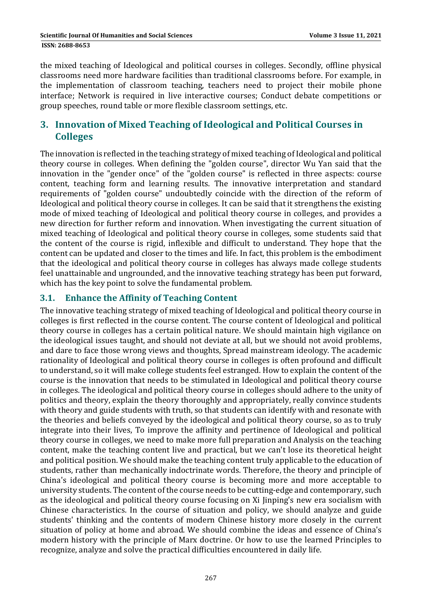the mixed teaching of Ideological and political courses in colleges. Secondly, offline physical classrooms need more hardware facilities than traditional classrooms before. For example, in the implementation of classroom teaching, teachers need to project their mobile phone interface; Network is required in live interactive courses; Conduct debate competitions or group speeches, round table or more flexible classroom settings, etc.

## **3. Innovation of Mixed Teaching of Ideological and Political Courses in Colleges**

The innovation is reflected in the teaching strategy of mixed teaching of Ideological and political theory course in colleges. When defining the "golden course", director Wu Yan said that the innovation in the "gender once" of the "golden course" is reflected in three aspects: course content, teaching form and learning results. The innovative interpretation and standard requirements of "golden course" undoubtedly coincide with the direction of the reform of Ideological and political theory course in colleges. It can be said that it strengthens the existing mode of mixed teaching of Ideological and political theory course in colleges, and provides a new direction for further reform and innovation. When investigating the current situation of mixed teaching of Ideological and political theory course in colleges, some students said that the content of the course is rigid, inflexible and difficult to understand. They hope that the content can be updated and closer to the times and life. In fact, this problem is the embodiment that the ideological and political theory course in colleges has always made college students feel unattainable and ungrounded, and the innovative teaching strategy has been put forward, which has the key point to solve the fundamental problem.

#### **3.1. Enhance the Affinity of Teaching Content**

The innovative teaching strategy of mixed teaching of Ideological and political theory course in colleges is first reflected in the course content. The course content of Ideological and political theory course in colleges has a certain political nature. We should maintain high vigilance on the ideological issues taught, and should not deviate at all, but we should not avoid problems, and dare to face those wrong views and thoughts, Spread mainstream ideology. The academic rationality of Ideological and political theory course in colleges is often profound and difficult to understand, so it will make college students feel estranged. How to explain the content of the course is the innovation that needs to be stimulated in Ideological and political theory course in colleges. The ideological and political theory course in colleges should adhere to the unity of politics and theory, explain the theory thoroughly and appropriately, really convince students with theory and guide students with truth, so that students can identify with and resonate with the theories and beliefs conveyed by the ideological and political theory course, so as to truly integrate into their lives, To improve the affinity and pertinence of Ideological and political theory course in colleges, we need to make more full preparation and Analysis on the teaching content, make the teaching content live and practical, but we can't lose its theoretical height and political position. We should make the teaching content truly applicable to the education of students, rather than mechanically indoctrinate words. Therefore, the theory and principle of China's ideological and political theory course is becoming more and more acceptable to university students. The content of the course needs to be cutting-edge and contemporary, such as the ideological and political theory course focusing on Xi Jinping's new era socialism with Chinese characteristics. In the course of situation and policy, we should analyze and guide students' thinking and the contents of modern Chinese history more closely in the current situation of policy at home and abroad. We should combine the ideas and essence of China's modern history with the principle of Marx doctrine. Or how to use the learned Principles to recognize, analyze and solve the practical difficulties encountered in daily life.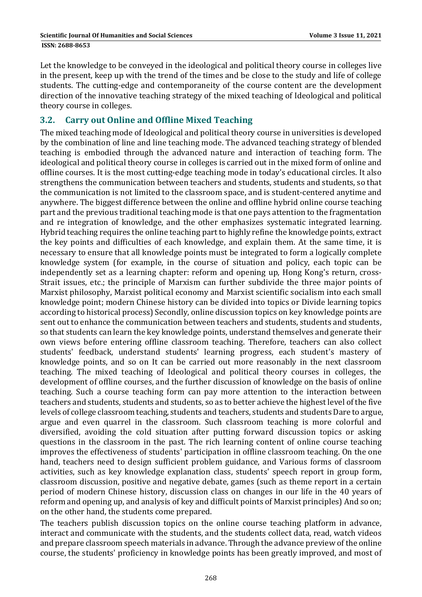Let the knowledge to be conveyed in the ideological and political theory course in colleges live in the present, keep up with the trend of the times and be close to the study and life of college students. The cutting-edge and contemporaneity of the course content are the development direction of the innovative teaching strategy of the mixed teaching of Ideological and political theory course in colleges.

#### **3.2. Carry out Online and Offline Mixed Teaching**

The mixed teaching mode of Ideological and political theory course in universities is developed by the combination of line and line teaching mode. The advanced teaching strategy of blended teaching is embodied through the advanced nature and interaction of teaching form. The ideological and political theory course in colleges is carried out in the mixed form of online and offline courses. It is the most cutting-edge teaching mode in today's educational circles. It also strengthens the communication between teachers and students, students and students, so that the communication is not limited to the classroom space, and is student-centered anytime and anywhere. The biggest difference between the online and offline hybrid online course teaching part and the previous traditional teaching mode is that one pays attention to the fragmentation and re integration of knowledge, and the other emphasizes systematic integrated learning. Hybrid teaching requires the online teaching part to highly refine the knowledge points, extract the key points and difficulties of each knowledge, and explain them. At the same time, it is necessary to ensure that all knowledge points must be integrated to form a logically complete knowledge system (for example, in the course of situation and policy, each topic can be independently set as a learning chapter: reform and opening up, Hong Kong's return, cross-Strait issues, etc.; the principle of Marxism can further subdivide the three major points of Marxist philosophy, Marxist political economy and Marxist scientific socialism into each small knowledge point; modern Chinese history can be divided into topics or Divide learning topics according to historical process) Secondly, online discussion topics on key knowledge points are sent out to enhance the communication between teachers and students, students and students, so that students can learn the key knowledge points, understand themselves and generate their own views before entering offline classroom teaching. Therefore, teachers can also collect students' feedback, understand students' learning progress, each student's mastery of knowledge points, and so on It can be carried out more reasonably in the next classroom teaching. The mixed teaching of Ideological and political theory courses in colleges, the development of offline courses, and the further discussion of knowledge on the basis of online teaching. Such a course teaching form can pay more attention to the interaction between teachers and students, students and students, so as to better achieve the highest level of the five levels of college classroom teaching, students and teachers, students and students Dare to argue, argue and even quarrel in the classroom. Such classroom teaching is more colorful and diversified, avoiding the cold situation after putting forward discussion topics or asking questions in the classroom in the past. The rich learning content of online course teaching improves the effectiveness of students' participation in offline classroom teaching. On the one hand, teachers need to design sufficient problem guidance, and Various forms of classroom activities, such as key knowledge explanation class, students' speech report in group form, classroom discussion, positive and negative debate, games (such as theme report in a certain period of modern Chinese history, discussion class on changes in our life in the 40 years of reform and opening up, and analysis of key and difficult points of Marxist principles) And so on; on the other hand, the students come prepared.

The teachers publish discussion topics on the online course teaching platform in advance, interact and communicate with the students, and the students collect data, read, watch videos and prepare classroom speech materials in advance. Through the advance preview of the online course, the students' proficiency in knowledge points has been greatly improved, and most of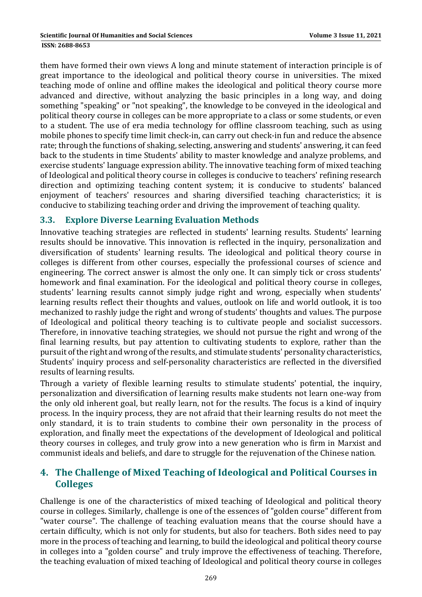them have formed their own views A long and minute statement of interaction principle is of great importance to the ideological and political theory course in universities. The mixed teaching mode of online and offline makes the ideological and political theory course more advanced and directive, without analyzing the basic principles in a long way, and doing something "speaking" or "not speaking", the knowledge to be conveyed in the ideological and political theory course in colleges can be more appropriate to a class or some students, or even to a student. The use of era media technology for offline classroom teaching, such as using mobile phones to specify time limit check-in, can carry out check-in fun and reduce the absence rate; through the functions of shaking, selecting, answering and students' answering, it can feed back to the students in time Students' ability to master knowledge and analyze problems, and exercise students' language expression ability. The innovative teaching form of mixed teaching of Ideological and political theory course in colleges is conducive to teachers' refining research direction and optimizing teaching content system; it is conducive to students' balanced enjoyment of teachers' resources and sharing diversified teaching characteristics; it is conducive to stabilizing teaching order and driving the improvement of teaching quality.

#### **3.3. Explore Diverse Learning Evaluation Methods**

Innovative teaching strategies are reflected in students' learning results. Students' learning results should be innovative. This innovation is reflected in the inquiry, personalization and diversification of students' learning results. The ideological and political theory course in colleges is different from other courses, especially the professional courses of science and engineering. The correct answer is almost the only one. It can simply tick or cross students' homework and final examination. For the ideological and political theory course in colleges, students' learning results cannot simply judge right and wrong, especially when students' learning results reflect their thoughts and values, outlook on life and world outlook, it is too mechanized to rashly judge the right and wrong of students' thoughts and values. The purpose of Ideological and political theory teaching is to cultivate people and socialist successors. Therefore, in innovative teaching strategies, we should not pursue the right and wrong of the final learning results, but pay attention to cultivating students to explore, rather than the pursuit of the right and wrong of the results, and stimulate students' personality characteristics, Students' inquiry process and self-personality characteristics are reflected in the diversified results of learning results.

Through a variety of flexible learning results to stimulate students' potential, the inquiry, personalization and diversification of learning results make students not learn one-way from the only old inherent goal, but really learn, not for the results. The focus is a kind of inquiry process. In the inquiry process, they are not afraid that their learning results do not meet the only standard, it is to train students to combine their own personality in the process of exploration, and finally meet the expectations of the development of Ideological and political theory courses in colleges, and truly grow into a new generation who is firm in Marxist and communist ideals and beliefs, and dare to struggle for the rejuvenation of the Chinese nation.

### **4. The Challenge of Mixed Teaching of Ideological and Political Courses in Colleges**

Challenge is one of the characteristics of mixed teaching of Ideological and political theory course in colleges. Similarly, challenge is one of the essences of "golden course" different from "water course". The challenge of teaching evaluation means that the course should have a certain difficulty, which is not only for students, but also for teachers. Both sides need to pay more in the process of teaching and learning, to build the ideological and political theory course in colleges into a "golden course" and truly improve the effectiveness of teaching. Therefore, the teaching evaluation of mixed teaching of Ideological and political theory course in colleges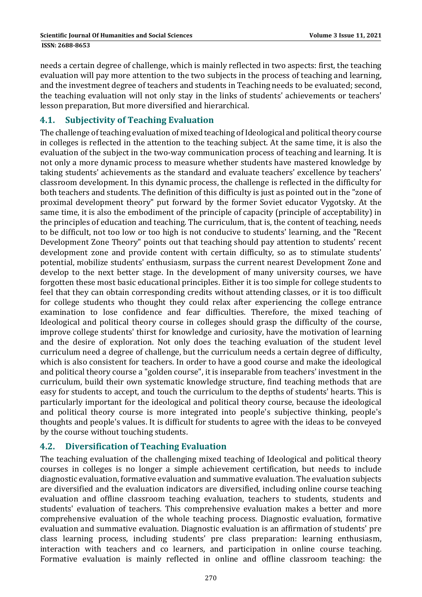needs a certain degree of challenge, which is mainly reflected in two aspects: first, the teaching evaluation will pay more attention to the two subjects in the process of teaching and learning. and the investment degree of teachers and students in Teaching needs to be evaluated; second, the teaching evaluation will not only stay in the links of students' achievements or teachers' lesson preparation, But more diversified and hierarchical.

### **4.1. Subjectivity of Teaching Evaluation**

The challenge of teaching evaluation of mixed teaching of Ideological and political theory course in colleges is reflected in the attention to the teaching subject. At the same time, it is also the evaluation of the subject in the two-way communication process of teaching and learning. It is not only a more dynamic process to measure whether students have mastered knowledge by taking students' achievements as the standard and evaluate teachers' excellence by teachers' classroom development. In this dynamic process, the challenge is reflected in the difficulty for both teachers and students. The definition of this difficulty is just as pointed out in the "zone of proximal development theory" put forward by the former Soviet educator Vygotsky. At the same time, it is also the embodiment of the principle of capacity (principle of acceptability) in the principles of education and teaching. The curriculum, that is, the content of teaching, needs to be difficult, not too low or too high is not conducive to students' learning, and the "Recent Development Zone Theory" points out that teaching should pay attention to students' recent development zone and provide content with certain difficulty, so as to stimulate students' potential, mobilize students' enthusiasm, surpass the current nearest Development Zone and develop to the next better stage. In the development of many university courses, we have forgotten these most basic educational principles. Either it is too simple for college students to feel that they can obtain corresponding credits without attending classes, or it is too difficult for college students who thought they could relax after experiencing the college entrance examination to lose confidence and fear difficulties. Therefore, the mixed teaching of Ideological and political theory course in colleges should grasp the difficulty of the course, improve college students' thirst for knowledge and curiosity, have the motivation of learning and the desire of exploration. Not only does the teaching evaluation of the student level curriculum need a degree of challenge, but the curriculum needs a certain degree of difficulty, which is also consistent for teachers. In order to have a good course and make the ideological and political theory course a "golden course", it is inseparable from teachers' investment in the curriculum, build their own systematic knowledge structure, find teaching methods that are easy for students to accept, and touch the curriculum to the depths of students' hearts. This is particularly important for the ideological and political theory course, because the ideological and political theory course is more integrated into people's subjective thinking, people's thoughts and people's values. It is difficult for students to agree with the ideas to be conveyed by the course without touching students.

### **4.2. Diversification of Teaching Evaluation**

The teaching evaluation of the challenging mixed teaching of Ideological and political theory courses in colleges is no longer a simple achievement certification, but needs to include diagnostic evaluation, formative evaluation and summative evaluation. The evaluation subjects are diversified and the evaluation indicators are diversified, including online course teaching evaluation and offline classroom teaching evaluation, teachers to students, students and students' evaluation of teachers. This comprehensive evaluation makes a better and more comprehensive evaluation of the whole teaching process. Diagnostic evaluation, formative evaluation and summative evaluation. Diagnostic evaluation is an affirmation of students' pre class learning process, including students' pre class preparation: learning enthusiasm, interaction with teachers and co learners, and participation in online course teaching. Formative evaluation is mainly reflected in online and offline classroom teaching: the